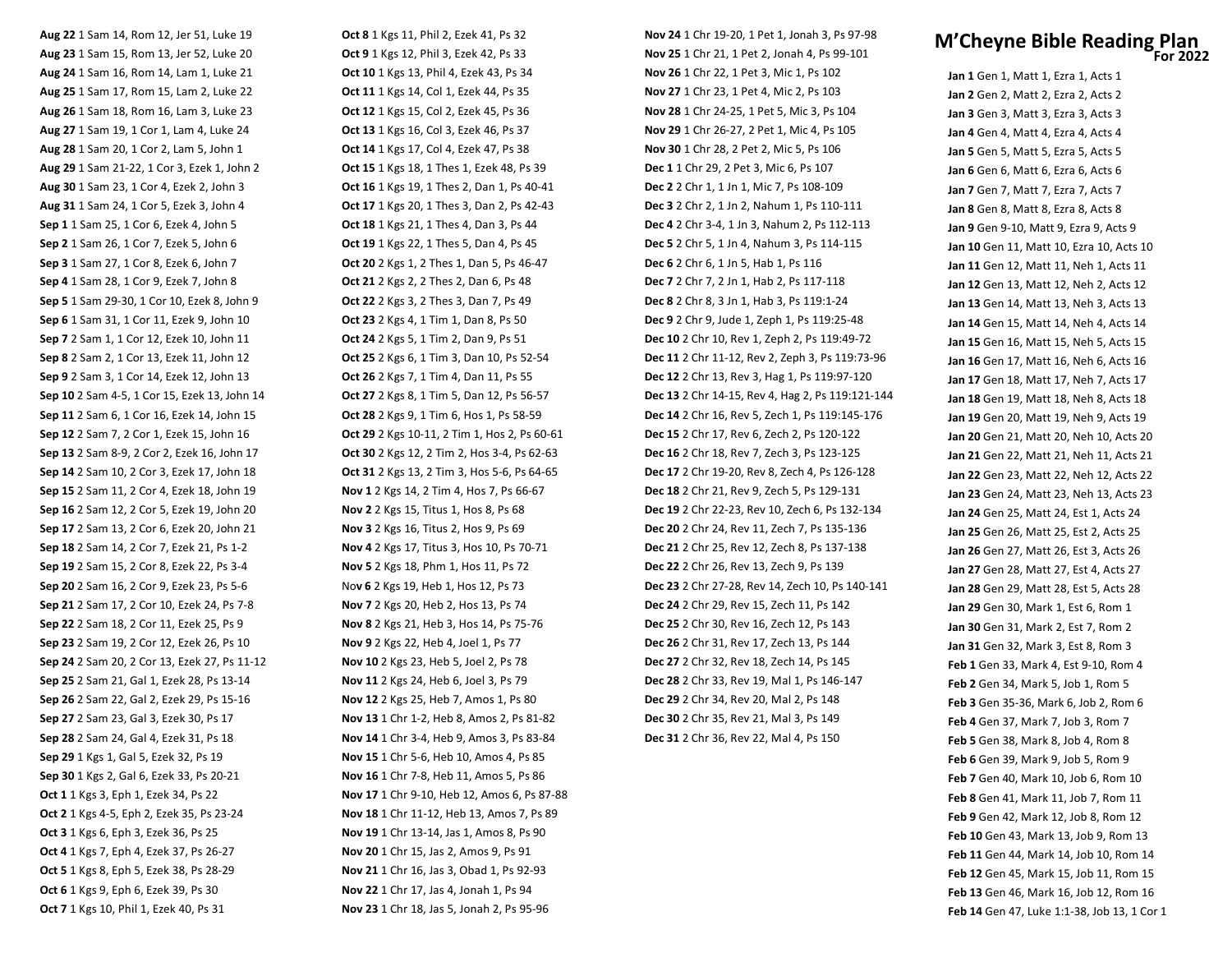**Aug 22** 1 Sam 14, Rom 12, Jer 51, Luke 19 **Aug 23** 1 Sam 15, Rom 13, Jer 52, Luke 20 **Aug 24** 1 Sam 16, Rom 14, Lam 1, Luke 21 **Aug 25** 1 Sam 17, Rom 15, Lam 2, Luke 22 **Aug 26** 1 Sam 18, Rom 16, Lam 3, Luke 23 **Aug 27** 1 Sam 19, 1 Cor 1, Lam 4, Luke 24 **Aug 28** 1 Sam 20, 1 Cor 2, Lam 5, John 1 **Aug 29** 1 Sam 21‐22, 1 Cor 3, Ezek 1, John 2 **Aug 30** 1 Sam 23, 1 Cor 4, Ezek 2, John 3 **Aug 31** 1 Sam 24, 1 Cor 5, Ezek 3, John 4 **Sep 1** 1 Sam 25, 1 Cor 6, Ezek 4, John 5 **Sep 2** 1 Sam 26, 1 Cor 7, Ezek 5, John 6 **Sep 3** 1 Sam 27, 1 Cor 8, Ezek 6, John 7 **Sep 4** 1 Sam 28, 1 Cor 9, Ezek 7, John 8 **Sep 5** 1 Sam 29‐30, 1 Cor 10, Ezek 8, John 9 **Sep 6** 1 Sam 31, 1 Cor 11, Ezek 9, John 10 **Sep 7** 2 Sam 1, 1 Cor 12, Ezek 10, John 11 **Sep 8** 2 Sam 2, 1 Cor 13, Ezek 11, John 12 **Sep 9** 2 Sam 3, 1 Cor 14, Ezek 12, John 13 **Sep 10** 2 Sam 4‐5, 1 Cor 15, Ezek 13, John 14 **Sep 11** 2 Sam 6, 1 Cor 16, Ezek 14, John 15 **Sep 12** 2 Sam 7, 2 Cor 1, Ezek 15, John 16 **Sep 13** 2 Sam 8‐9, 2 Cor 2, Ezek 16, John 17 **Sep 14** 2 Sam 10, 2 Cor 3, Ezek 17, John 18 **Sep 15** 2 Sam 11, 2 Cor 4, Ezek 18, John 19 **Sep 16** 2 Sam 12, 2 Cor 5, Ezek 19, John 20 **Sep 17** 2 Sam 13, 2 Cor 6, Ezek 20, John 21 **Sep 18** 2 Sam 14, 2 Cor 7, Ezek 21, Ps 1‐2 **Sep 19** 2 Sam 15, 2 Cor 8, Ezek 22, Ps 3‐4 **Sep 20** 2 Sam 16, 2 Cor 9, Ezek 23, Ps 5‐6 **Sep 21** 2 Sam 17, 2 Cor 10, Ezek 24, Ps 7‐8 **Sep 22** 2 Sam 18, 2 Cor 11, Ezek 25, Ps 9 **Sep 23** 2 Sam 19, 2 Cor 12, Ezek 26, Ps 10 **Sep 24** 2 Sam 20, 2 Cor 13, Ezek 27, Ps 11‐12 **Sep 25** 2 Sam 21, Gal 1, Ezek 28, Ps 13‐14 **Sep 26** 2 Sam 22, Gal 2, Ezek 29, Ps 15‐16 **Sep 27** 2 Sam 23, Gal 3, Ezek 30, Ps 17 **Sep 28** 2 Sam 24, Gal 4, Ezek 31, Ps 18 **Sep 29** 1 Kgs 1, Gal 5, Ezek 32, Ps 19 **Sep 30** 1 Kgs 2, Gal 6, Ezek 33, Ps 20‐21 **Oct 1** 1 Kgs 3, Eph 1, Ezek 34, Ps 22 **Oct 2** 1 Kgs 4‐5, Eph 2, Ezek 35, Ps 23‐24 **Oct 3** 1 Kgs 6, Eph 3, Ezek 36, Ps 25 **Oct 4** 1 Kgs 7, Eph 4, Ezek 37, Ps 26‐27 **Oct 5** 1 Kgs 8, Eph 5, Ezek 38, Ps 28‐29 **Oct 6** 1 Kgs 9, Eph 6, Ezek 39, Ps 30 **Oct 7** 1 Kgs 10, Phil 1, Ezek 40, Ps 31

**Oct 8** 1 Kgs 11, Phil 2, Ezek 41, Ps 32 **Oct 9** 1 Kgs 12, Phil 3, Ezek 42, Ps 33 **Oct 10** 1 Kgs 13, Phil 4, Ezek 43, Ps 34 **Oct 11** 1 Kgs 14, Col 1, Ezek 44, Ps 35 **Oct 12** 1 Kgs 15, Col 2, Ezek 45, Ps 36 **Oct 13** 1 Kgs 16, Col 3, Ezek 46, Ps 37 **Oct 14** 1 Kgs 17, Col 4, Ezek 47, Ps 38 **Oct 15** 1 Kgs 18, 1 Thes 1, Ezek 48, Ps 39 **Oct 16** 1 Kgs 19, 1 Thes 2, Dan 1, Ps 40‐41 **Oct 17** 1 Kgs 20, 1 Thes 3, Dan 2, Ps 42‐43 **Oct 18** 1 Kgs 21, 1 Thes 4, Dan 3, Ps 44 **Oct 19** 1 Kgs 22, 1 Thes 5, Dan 4, Ps 45 **Oct 20** 2 Kgs 1, 2 Thes 1, Dan 5, Ps 46‐47 **Oct 21** 2 Kgs 2, 2 Thes 2, Dan 6, Ps 48 **Oct 22** 2 Kgs 3, 2 Thes 3, Dan 7, Ps 49 **Oct 23** 2 Kgs 4, 1 Tim 1, Dan 8, Ps 50 **Oct 24** 2 Kgs 5, 1 Tim 2, Dan 9, Ps 51 **Oct 25** 2 Kgs 6, 1 Tim 3, Dan 10, Ps 52‐54 **Oct 26** 2 Kgs 7, 1 Tim 4, Dan 11, Ps 55 **Oct 27** 2 Kgs 8, 1 Tim 5, Dan 12, Ps 56‐57 **Oct 28** 2 Kgs 9, 1 Tim 6, Hos 1, Ps 58‐59 **Oct 29** 2 Kgs 10‐11, 2 Tim 1, Hos 2, Ps 60‐61 **Oct 30** 2 Kgs 12, 2 Tim 2, Hos 3‐4, Ps 62‐63 **Oct 31** 2 Kgs 13, 2 Tim 3, Hos 5‐6, Ps 64‐65 **Nov 1** 2 Kgs 14, 2 Tim 4, Hos 7, Ps 66‐67 **Nov 2** 2 Kgs 15, Titus 1, Hos 8, Ps 68 **Nov 3** 2 Kgs 16, Titus 2, Hos 9, Ps 69 **Nov 4** 2 Kgs 17, Titus 3, Hos 10, Ps 70‐71 **Nov 5** 2 Kgs 18, Phm 1, Hos 11, Ps 72 No**v 6** 2 Kgs 19, Heb 1, Hos 12, Ps 73 **Nov 7** 2 Kgs 20, Heb 2, Hos 13, Ps 74 **Nov 8** 2 Kgs 21, Heb 3, Hos 14, Ps 75‐76 **Nov 9** 2 Kgs 22, Heb 4, Joel 1, Ps 77 **Nov 10** 2 Kgs 23, Heb 5, Joel 2, Ps 78 **Nov 11** 2 Kgs 24, Heb 6, Joel 3, Ps 79 **Nov 12** 2 Kgs 25, Heb 7, Amos 1, Ps 80 **Nov 13** 1 Chr 1‐2, Heb 8, Amos 2, Ps 81‐82 **Nov 14** 1 Chr 3‐4, Heb 9, Amos 3, Ps 83‐84 **Nov 15** 1 Chr 5‐6, Heb 10, Amos 4, Ps 85 **Nov 16** 1 Chr 7‐8, Heb 11, Amos 5, Ps 86 **Nov 17** 1 Chr 9‐10, Heb 12, Amos 6, Ps 87‐88 **Nov 18** 1 Chr 11‐12, Heb 13, Amos 7, Ps 89 **Nov 19** 1 Chr 13‐14, Jas 1, Amos 8, Ps 90 **Nov 20** 1 Chr 15, Jas 2, Amos 9, Ps 91 **Nov 21** 1 Chr 16, Jas 3, Obad 1, Ps 92‐93 **Nov 22** 1 Chr 17, Jas 4, Jonah 1, Ps 94 **Nov 23** 1 Chr 18, Jas 5, Jonah 2, Ps 95‐96

**Nov 24** 1 Chr 19‐20, 1 Pet 1, Jonah 3, Ps 97‐98 **Nov 25** 1 Chr 21, 1 Pet 2, Jonah 4, Ps 99‐101 **Nov 26** 1 Chr 22, 1 Pet 3, Mic 1, Ps 102 **Nov 27** 1 Chr 23, 1 Pet 4, Mic 2, Ps 103 **Nov 28** 1 Chr 24‐25, 1 Pet 5, Mic 3, Ps 104 **Nov 29** 1 Chr 26‐27, 2 Pet 1, Mic 4, Ps 105 **Nov 30** 1 Chr 28, 2 Pet 2, Mic 5, Ps 106 **Dec 1** 1 Chr 29, 2 Pet 3, Mic 6, Ps 107 **Dec 2** 2 Chr 1, 1 Jn 1, Mic 7, Ps 108‐109 **Dec 3** 2 Chr 2, 1 Jn 2, Nahum 1, Ps 110‐111 **Dec 4** 2 Chr 3‐4, 1 Jn 3, Nahum 2, Ps 112‐113 **Dec 5** 2 Chr 5, 1 Jn 4, Nahum 3, Ps 114‐115 **Dec 6** 2 Chr 6, 1 Jn 5, Hab 1, Ps 116 **Dec 7** 2 Chr 7, 2 Jn 1, Hab 2, Ps 117‐118 **Dec 8** 2 Chr 8, 3 Jn 1, Hab 3, Ps 119:1‐24 **Dec 9** 2 Chr 9, Jude 1, Zeph 1, Ps 119:25‐48 **Dec 10** 2 Chr 10, Rev 1, Zeph 2, Ps 119:49‐72 **Dec 11** 2 Chr 11‐12, Rev 2, Zeph 3, Ps 119:73‐96 **Dec 12** 2 Chr 13, Rev 3, Hag 1, Ps 119:97‐120 **Dec 13** 2 Chr 14‐15, Rev 4, Hag 2, Ps 119:121‐144 **Dec 14** 2 Chr 16, Rev 5, Zech 1, Ps 119:145‐176 **Dec 15** 2 Chr 17, Rev 6, Zech 2, Ps 120‐122 **Dec 16** 2 Chr 18, Rev 7, Zech 3, Ps 123‐125 **Dec 17** 2 Chr 19‐20, Rev 8, Zech 4, Ps 126‐128 **Dec 18** 2 Chr 21, Rev 9, Zech 5, Ps 129‐131 **Dec 19** 2 Chr 22‐23, Rev 10, Zech 6, Ps 132‐134 **Dec 20** 2 Chr 24, Rev 11, Zech 7, Ps 135‐136 **Dec 21** 2 Chr 25, Rev 12, Zech 8, Ps 137‐138 **Dec 22** 2 Chr 26, Rev 13, Zech 9, Ps 139 **Dec 23** 2 Chr 27‐28, Rev 14, Zech 10, Ps 140‐141 **Dec 24** 2 Chr 29, Rev 15, Zech 11, Ps 142 **Dec 25** 2 Chr 30, Rev 16, Zech 12, Ps 143 **Dec 26** 2 Chr 31, Rev 17, Zech 13, Ps 144 **Dec 27** 2 Chr 32, Rev 18, Zech 14, Ps 145 **Dec 28** 2 Chr 33, Rev 19, Mal 1, Ps 146‐147 **Dec 29** 2 Chr 34, Rev 20, Mal 2, Ps 148 **Dec 30** 2 Chr 35, Rev 21, Mal 3, Ps 149 **Dec 31** 2 Chr 36, Rev 22, Mal 4, Ps 150

## **M'Cheyne Bible Reading Plan For 2022**

**Jan 1** Gen 1, Matt 1, Ezra 1, Acts 1 **Jan 2** Gen 2, Matt 2, Ezra 2, Acts 2 **Jan 3** Gen 3, Matt 3, Ezra 3, Acts 3 **Jan 4** Gen 4, Matt 4, Ezra 4, Acts 4 **Jan 5** Gen 5, Matt 5, Ezra 5, Acts 5 **Jan 6** Gen 6, Matt 6, Ezra 6, Acts 6 **Jan 7** Gen 7, Matt 7, Ezra 7, Acts 7 **Jan 8** Gen 8, Matt 8, Ezra 8, Acts 8 **Jan 9** Gen 9‐10, Matt 9, Ezra 9, Acts 9 **Jan 10** Gen 11, Matt 10, Ezra 10, Acts 10 **Jan 11** Gen 12, Matt 11, Neh 1, Acts 11 **Jan 12** Gen 13, Matt 12, Neh 2, Acts 12 **Jan 13** Gen 14, Matt 13, Neh 3, Acts 13 **Jan 14** Gen 15, Matt 14, Neh 4, Acts 14 **Jan 15** Gen 16, Matt 15, Neh 5, Acts 15 **Jan 16** Gen 17, Matt 16, Neh 6, Acts 16 **Jan 17** Gen 18, Matt 17, Neh 7, Acts 17 **Jan 18** Gen 19, Matt 18, Neh 8, Acts 18 **Jan 19** Gen 20, Matt 19, Neh 9, Acts 19 **Jan 20** Gen 21, Matt 20, Neh 10, Acts 20 **Jan 21** Gen 22, Matt 21, Neh 11, Acts 21 **Jan 22** Gen 23, Matt 22, Neh 12, Acts 22 **Jan 23** Gen 24, Matt 23, Neh 13, Acts 23 **Jan 24** Gen 25, Matt 24, Est 1, Acts 24 **Jan 25** Gen 26, Matt 25, Est 2, Acts 25 **Jan 26** Gen 27, Matt 26, Est 3, Acts 26 **Jan 27** Gen 28, Matt 27, Est 4, Acts 27 **Jan 28** Gen 29, Matt 28, Est 5, Acts 28 **Jan 29** Gen 30, Mark 1, Est 6, Rom 1 **Jan 30** Gen 31, Mark 2, Est 7, Rom 2 **Jan 31** Gen 32, Mark 3, Est 8, Rom 3 **Feb 1** Gen 33, Mark 4, Est 9‐10, Rom 4 **Feb 2** Gen 34, Mark 5, Job 1, Rom 5 **Feb 3** Gen 35‐36, Mark 6, Job 2, Rom 6 **Feb 4** Gen 37, Mark 7, Job 3, Rom 7 **Feb 5** Gen 38, Mark 8, Job 4, Rom 8 **Feb 6** Gen 39, Mark 9, Job 5, Rom 9 **Feb 7** Gen 40, Mark 10, Job 6, Rom 10 **Feb 8** Gen 41, Mark 11, Job 7, Rom 11 **Feb 9** Gen 42, Mark 12, Job 8, Rom 12 **Feb 10** Gen 43, Mark 13, Job 9, Rom 13 **Feb 11** Gen 44, Mark 14, Job 10, Rom 14 **Feb 12** Gen 45, Mark 15, Job 11, Rom 15 **Feb 13** Gen 46, Mark 16, Job 12, Rom 16 **Feb 14** Gen 47, Luke 1:1‐38, Job 13, 1 Cor 1